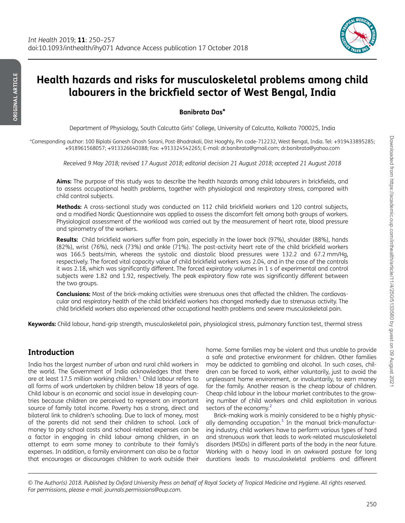

# Health hazards and risks for musculoskeletal problems among child labourers in the brickfield sector of West Bengal, India

Banibrata Das\*

Department of Physiology, South Calcutta Girls' College, University of Calcutta, Kolkata 700025, India

\*Corresponding author: 100 Biplabi Ganesh Ghosh Sarani, Post-Bhadrakali, Dist Hooghly, Pin code-712232, West Bengal, India. Tel: +919433895285; +918961568057; +913326640388; Fax: +913324542265; E-mail: dr.banibrata@gmail.com; dr.banibrata@yahoo.com

*Received 9 May 2018; revised 17 August 2018; editorial decision 21 August 2018; accepted 21 August 2018*

Aims: The purpose of this study was to describe the health hazards among child labourers in brickfields, and to assess occupational health problems, together with physiological and respiratory stress, compared with child control subjects.

Methods: A cross-sectional study was conducted on 112 child brickfield workers and 120 control subjects, and a modified Nordic Questionnaire was applied to assess the discomfort felt among both groups of workers. Physiological assessment of the workload was carried out by the measurement of heart rate, blood pressure and spirometry of the workers.

Results: Child brickfield workers suffer from pain, especially in the lower back (97%), shoulder (88%), hands (82%), wrist (76%), neck (73%) and ankle (71%). The post-activity heart rate of the child brickfield workers was 166.5 beats/min, whereas the systolic and diastolic blood pressures were 132.2 and 67.2 mm/Hg, respectively. The forced vital capacity value of child brickfield workers was 2.04, and in the case of the controls it was 2.18, which was significantly different. The forced expiratory volumes in 1 s of experimental and control subjects were 1.82 and 1.92, respectively. The peak expiratory flow rate was significantly different between the two groups.

Conclusions: Most of the brick-making activities were strenuous ones that affected the children. The cardiovascular and respiratory health of the child brickfield workers has changed markedly due to strenuous activity. The child brickfield workers also experienced other occupational health problems and severe musculoskeletal pain.

Keywords: Child labour, hand-grip strength, musculoskeletal pain, physiological stress, pulmonary function test, thermal stress

## Introduction

India has the largest number of urban and rural child workers in the world. The Government of India acknowledges that there are at least 17.5 million working children. $^1$  Child labour refers to all forms of work undertaken by children below 18 years of age. Child labour is an economic and social issue in developing countries because children are perceived to represent an important source of family total income. Poverty has a strong, direct and bilateral link to children's schooling. Due to lack of money, most of the parents did not send their children to school. Lack of money to pay school costs and school-related expenses can be a factor in engaging in child labour among children, in an attempt to earn some money to contribute to their family's expenses. In addition, a family environment can also be a factor that encourages or discourages children to work outside their

home. Some families may be violent and thus unable to provide a safe and protective environment for children. Other families may be addicted to gambling and alcohol. In such cases, children can be forced to work, either voluntarily, just to avoid the unpleasant home environment, or involuntarily, to earn money for the family. Another reason is the cheap labour of children. Cheap child labour in the labour market contributes to the growing number of child workers and child exploitation in various sectors of the economy.<sup>2</sup>

Brick-making work is mainly considered to be a highly physically demanding occupation.<sup>3</sup> In the manual brick-manufacturing industry, child workers have to perform various types of hard and strenuous work that leads to work-related musculoskeletal disorders (MSDs) in different parts of the body in the near future. Working with a heavy load in an awkward posture for long durations leads to musculoskeletal problems and different

© *The Author(s) 2018. Published by Oxford University Press on behalf of Royal Society of Tropical Medicine and Hygiene. All rights reserved. For permissions, please e-mail: journals.permissions@oup.com.*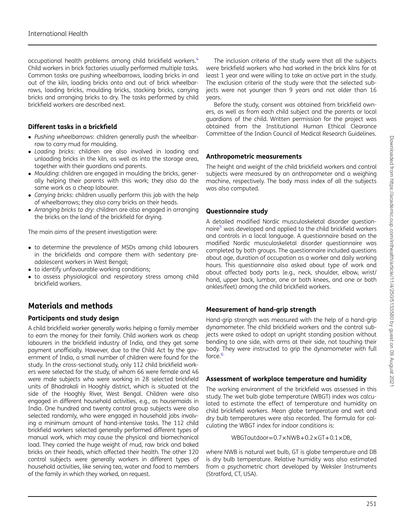occupational health problems among child brickfield workers.<sup>4</sup> Child workers in brick factories usually performed multiple tasks. Common tasks are pushing wheelbarrows, loading bricks in and out of the kiln, loading bricks onto and out of brick wheelbarrows, loading bricks, moulding bricks, stacking bricks, carrying bricks and arranging bricks to dry. The tasks performed by child brickfield workers are described next.

#### Different tasks in a brickfield

- *Pushing wheelbarrows*: children generally push the wheelbarrow to carry mud for moulding.
- *Loading bricks*: children are also involved in loading and unloading bricks in the kiln, as well as into the storage area, together with their guardians and parents.
- *Moulding*: children are engaged in moulding the bricks, generally helping their parents with this work; they also do the same work as a cheap labourer.
- *Carrying bricks*: children usually perform this job with the help of wheelbarrows; they also carry bricks on their heads.
- *Arranging bricks to dry*: children are also engaged in arranging the bricks on the land of the brickfield for drying.

The main aims of the present investigation were:

- to determine the prevalence of MSDs among child labourers in the brickfields and compare them with sedentary preadolescent workers in West Bengal;
- to identify unfavourable working conditions;
- to assess physiological and respiratory stress among child brickfield workers.

## Materials and methods

#### Participants and study design

A child brickfield worker generally works helping a family member to earn the money for their family. Child workers work as cheap labourers in the brickfield industry of India, and they get some payment unofficially. However, due to the Child Act by the government of India, a small number of children were found for the study. In the cross-sectional study, only 112 child brickfield workers were selected for the study, of whom 66 were female and 46 were male subjects who were working in 28 selected brickfield units of Bhadrakali in Hooghly district, which is situated at the side of the Hooghly River, West Bengal. Children were also engaged in different household activities, e.g., as housemaids in India. One hundred and twenty control group subjects were also selected randomly, who were engaged in household jobs involving a minimum amount of hand-intensive tasks. The 112 child brickfield workers selected generally performed different types of manual work, which may cause the physical and biomechanical load. They carried the huge weight of mud, raw brick and baked bricks on their heads, which affected their health. The other 120 control subjects were generally workers in different types of household activities, like serving tea, water and food to members of the family in which they worked, on request.

The inclusion criteria of the study were that all the subjects were brickfield workers who had worked in the brick kilns for at least 1 year and were willing to take an active part in the study. The exclusion criteria of the study were that the selected subjects were not younger than 9 years and not older than 16 years.

Before the study, consent was obtained from brickfield owners, as well as from each child subject and the parents or local guardians of the child. Written permission for the project was obtained from the Institutional Human Ethical Clearance Committee of the Indian Council of Medical Research Guidelines.

#### Anthropometric measurements

The height and weight of the child brickfield workers and control subjects were measured by an anthropometer and a weighing machine, respectively. The body mass index of all the subjects was also computed.

#### Questionnaire study

A detailed modified Nordic musculoskeletal disorder questionnaire<sup>5</sup> was developed and applied to the child brickfield workers and controls in a local language. A questionnaire based on the modified Nordic musculoskeletal disorder questionnaire was completed by both groups. The questionnaire included questions about age, duration of occupation as a worker and daily working hours. This questionnaire also asked about type of work and about affected body parts (e.g., neck, shoulder, elbow, wrist/ hand, upper back, lumbar, one or both knees, and one or both ankles/feet) among the child brickfield workers.

#### Measurement of hand-grip strength

Hand-grip strength was measured with the help of a hand-grip dynamometer. The child brickfield workers and the control subjects were asked to adopt an upright standing position without bending to one side, with arms at their side, not touching their body. They were instructed to grip the dynamometer with full force.<sup>6</sup>

#### Assessment of workplace temperature and humidity

The working environment of the brickfield was assessed in this study. The wet bulb globe temperature (WBGT) index was calculated to estimate the effect of temperature and humidity on child brickfield workers. Mean globe temperature and wet and dry bulb temperatures were also recorded. The formula for calculating the WBGT index for indoor conditions is:

 $WBGToutdoor = 0.7 \times NWB + 0.2 \times GT + 0.1 \times DB$ .

where NWB is natural wet bulb, GT is globe temperature and DB is dry bulb temperature. Relative humidity was also estimated from a psychometric chart developed by Weksler Instruments (Stratford, CT, USA).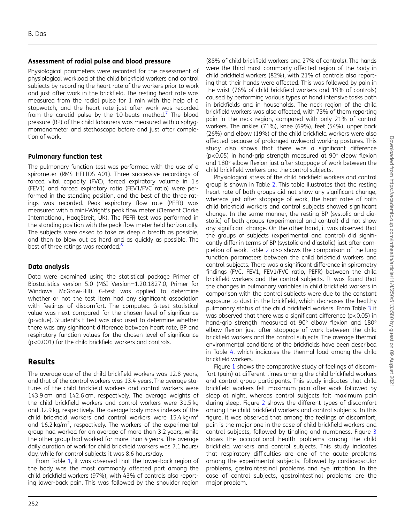#### Assessment of radial pulse and blood pressure

Physiological parameters were recorded for the assessment of physiological workload of the child brickfield workers and control subjects by recording the heart rate of the workers prior to work and just after work in the brickfield. The resting heart rate was measured from the radial pulse for 1 min with the help of a stopwatch, and the heart rate just after work was recorded from the carotid pulse by the 10-beats method.<sup>7</sup> The blood pressure (BP) of the child labourers was measured with a sphygmomanometer and stethoscope before and just after completion of work.

#### Pulmonary function test

The pulmonary function test was performed with the use of a spirometer (RMS HELIOS 401). Three successive recordings of forced vital capacity (FVC), forced expiratory volume in 1 s (FEV1) and forced expiratory ratio (FEV1/FVC ratio) were performed in the standing position, and the best of the three ratings was recorded. Peak expiratory flow rate (PEFR) was measured with a mini-Wright's peak flow meter (Clement Clarke International, HaagStreit, UK). The PEFR test was performed in the standing position with the peak flow meter held horizontally. The subjects were asked to take as deep a breath as possible, and then to blow out as hard and as quickly as possible. The best of three ratings was recorded.<sup>8</sup>

#### Data analysis

Data were examined using the statistical package Primer of Biostatistics version 5.0 (MSI Version=1.20.1827.0, Primer for Windows, McGraw-Hill). G-test was applied to determine whether or not the test item had any significant association with feelings of discomfort. The computed G-test statistical value was next compared for the chosen level of significance (p-value). Student's t test was also used to determine whether there was any significant difference between heart rate, BP and respiratory function values for the chosen level of significance (p<0.001) for the child brickfield workers and controls.

## Results

The average age of the child brickfield workers was 12.8 years, and that of the control workers was 13.4 years. The average statures of the child brickfield workers and control workers were 143.9 cm and 142.6 cm, respectively. The average weights of the child brickfield workers and control workers were 31.5 kg and 32.9 kg, respectively. The average body mass indexes of the child brickfield workers and control workers were 15.4 kg/m<sup>2</sup> and 16.2 kg/m<sup>2</sup>, respectively. The workers of the experimental group had worked for an average of more than 3.2 years, while the other group had worked for more than 4 years. The average daily duration of work for child brickfield workers was 7.1 hours/ day, while for control subjects it was 8.6 hours/day.

From Table 1, it was observed that the lower-back region of the body was the most commonly affected part among the child brickfield workers (97%), with 43% of controls also reporting lower-back pain. This was followed by the shoulder region

(88% of child brickfield workers and 27% of controls). The hands were the third most commonly affected region of the body in child brickfield workers (82%), with 21% of controls also reporting that their hands were affected. This was followed by pain in the wrist (76% of child brickfield workers and 19% of controls) caused by performing various types of hand intensive tasks both in brickfields and in households. The neck region of the child brickfield workers was also affected, with 73% of them reporting pain in the neck region, compared with only 21% of control workers. The ankles (71%), knee (69%), feet (54%), upper back (26%) and elbow (19%) of the child brickfield workers were also affected because of prolonged awkward working postures. This study also shows that there was a significant difference (p<0.05) in hand-grip strength measured at 90° elbow flexion and 180° elbow flexion just after stoppage of work between the child brickfield workers and the control subjects.

Physiological stress of the child brickfield workers and control group is shown in Table 2. This table illustrates that the resting heart rate of both groups did not show any significant change, whereas just after stoppage of work, the heart rates of both child brickfield workers and control subjects showed significant change. In the same manner, the resting BP (systolic and diastolic) of both groups (experimental and control) did not show any significant change. On the other hand, it was observed that the groups of subjects (experimental and control) did significantly differ in terms of BP (systolic and diastolic) just after completion of work. Table 2 also shows the comparison of the lung function parameters between the child brickfield workers and control subjects. There was a significant difference in spirometry findings (FVC, FEV1, FEV1/FVC ratio, PEFR) between the child brickfield workers and the control subjects. It was found that the changes in pulmonary variables in child brickfield workers in comparison with the control subjects were due to the constant exposure to dust in the brickfield, which decreases the healthy pulmonary status of the child brickfield workers. From Table 3 it was observed that there was a significant difference (p<0.05) in hand-grip strength measured at 90° elbow flexion and 180° elbow flexion just after stoppage of work between the child brickfield workers and the control subjects. The average thermal environmental conditions of the brickfields have been described in Table 4, which indicates the thermal load among the child brickfield workers.

Figure 1 shows the comparative study of feelings of discomfort (pain) at different times among the child brickfield workers and control group participants. This study indicates that child brickfield workers felt maximum pain after work followed by sleep at night, whereas control subjects felt maximum pain during sleep. Figure 2 shows the different types of discomfort among the child brickfield workers and control subjects. In this figure, it was observed that among the feelings of discomfort, pain is the major one in the case of child brickfield workers and control subjects, followed by tingling and numbness. Figure 3 shows the occupational health problems among the child brickfield workers and control subjects. This study indicates that respiratory difficulties are one of the acute problems among the experimental subjects, followed by cardiovascular problems, gastrointestinal problems and eye irritation. In the case of control subjects, gastrointestinal problems are the major problem.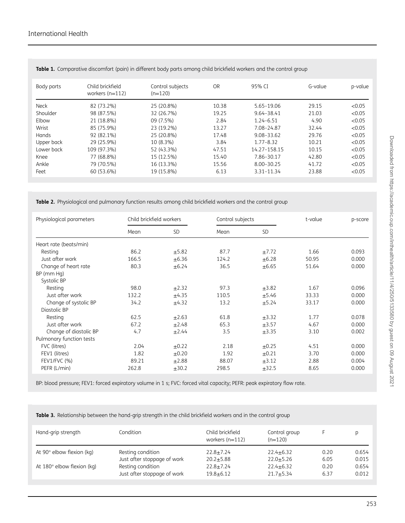| Body parts   | Child brickfield<br>workers $(n=112)$ | Control subjects<br>$(n=120)$ | <b>OR</b> | 95% CI         | G-value | p-value |
|--------------|---------------------------------------|-------------------------------|-----------|----------------|---------|---------|
| <b>Neck</b>  | 82 (73.2%)                            | 25 (20.8%)                    | 10.38     | 5.65-19.06     | 29.15   | < 0.05  |
| Shoulder     | 98 (87.5%)                            | 32 (26.7%)                    | 19.25     | $9.64 - 38.41$ | 21.03   | <0.05   |
| Elbow        | 21 (18.8%)                            | 09 (7.5%)                     | 2.84      | $1.24 - 6.51$  | 4.90    | < 0.05  |
| Wrist        | 85 (75.9%)                            | 23 (19.2%)                    | 13.27     | 7.08-24.87     | 32.44   | <0.05   |
| <b>Hands</b> | 92 (82.1%)                            | 25 (20.8%)                    | 17.48     | $9.08 - 33.62$ | 29.76   | <0.05   |
| Upper back   | 29 (25.9%)                            | 10 (8.3%)                     | 3.84      | $1.77 - 8.32$  | 10.21   | < 0.05  |
| Lower back   | 109 (97.3%)                           | 52 (43.3%)                    | 47.51     | 14.27-158.15   | 10.15   | <0.05   |
| Knee         | 77 (68.8%)                            | 15 (12.5%)                    | 15.40     | 7.86-30.17     | 42.80   | <0.05   |
| Ankle        | 79 (70.5%)                            | 16 (13.3%)                    | 15.56     | $8.00 - 30.25$ | 41.72   | < 0.05  |
| Feet         | 60 (53.6%)                            | 19 (15.8%)                    | 6.13      | $3.31 - 11.34$ | 23.88   | <0.05   |

Table 1. Comparative discomfort (pain) in different body parts among child brickfield workers and the control group

Table 2. Physiological and pulmonary function results among child brickfield workers and the control group

| Physiological parameters | Child brickfield workers |            |       | Control subjects |       | p-score |
|--------------------------|--------------------------|------------|-------|------------------|-------|---------|
|                          | Mean                     | <b>SD</b>  | Mean  | <b>SD</b>        |       |         |
| Heart rate (beats/min)   |                          |            |       |                  |       |         |
| Resting                  | 86.2                     | ±5.82      | 87.7  | ±7.72            | 1.66  | 0.093   |
| Just after work          | 166.5                    | $\pm 6.36$ | 124.2 | $\pm 6.28$       | 50.95 | 0.000   |
| Change of heart rate     | 80.3                     | $\pm$ 6.24 | 36.5  | $\pm 6.65$       | 51.64 | 0.000   |
| BP (mm Hg)               |                          |            |       |                  |       |         |
| Systolic BP              |                          |            |       |                  |       |         |
| Resting                  | 98.0                     | ±2.32      | 97.3  | $\pm 3.82$       | 1.67  | 0.096   |
| Just after work          | 132.2                    | $+4.35$    | 110.5 | $+5.46$          | 33.33 | 0.000   |
| Change of systolic BP    | 34.2                     | ±4.32      | 13.2  | ±5.24            | 33.17 | 0.000   |
| Diastolic BP             |                          |            |       |                  |       |         |
| Resting                  | 62.5                     | $\pm 2.63$ | 61.8  | $\pm 3.32$       | 1.77  | 0.078   |
| Just after work          | 67.2                     | ±2.48      | 65.3  | $\pm$ 3.57       | 4.67  | 0.000   |
| Change of diastolic BP   | 4.7                      | $\pm$ 2.44 | 3.5   | $\pm$ 3.35       | 3.10  | 0.002   |
| Pulmonary function tests |                          |            |       |                  |       |         |
| FVC (litres)             | 2.04                     | $\pm$ 0.22 | 2.18  | $\pm 0.25$       | 4.51  | 0.000   |
| FEV1 (litres)            | 1.82                     | $\pm 0.20$ | 1.92  | $\pm 0.21$       | 3.70  | 0.000   |
| FEV1/FVC (%)             | 89.21                    | ±2.88      | 88.07 | $\pm 3.12$       | 2.88  | 0.004   |
| PEFR (L/min)             | 262.8                    | $\pm$ 30.2 | 298.5 | $\pm$ 32.5       | 8.65  | 0.000   |

BP: blood pressure; FEV1: forced expiratory volume in 1 s; FVC: forced vital capacity; PEFR: peak expiratory flow rate.

Table 3. Relationship between the hand-grip strength in the child brickfield workers and in the control group

| Hand-grip strength                                             | Condition                                                             | Child brickfield<br>workers $(n=112)$             | Control group<br>$(n=120)$                          |                      |                                  |
|----------------------------------------------------------------|-----------------------------------------------------------------------|---------------------------------------------------|-----------------------------------------------------|----------------------|----------------------------------|
| At $90^\circ$ elbow flexion (kg)<br>At 180° elbow flexion (kg) | Resting condition<br>Just after stoppage of work<br>Resting condition | $22.8 \pm 7.24$<br>$20.2 + 5.88$<br>$22.8 + 7.24$ | $22.4 + 6.32$<br>$22.0 \pm 5.26$<br>$22.4 \pm 6.32$ | 0.20<br>6.05<br>0.20 | 0.654<br>0.015<br>0.654<br>0.012 |
|                                                                | Just after stoppage of work                                           | $19.8 + 6.12$                                     | $21.7 + 5.34$                                       | 6.37                 |                                  |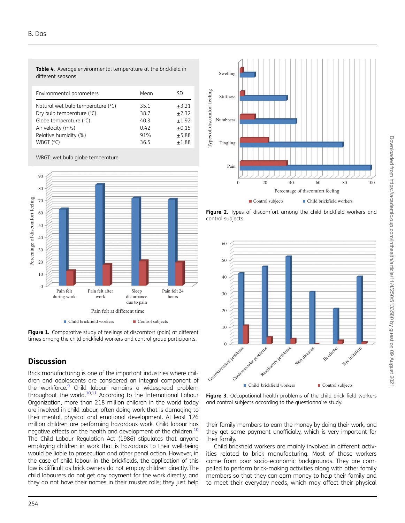Table 4. Average environmental temperature at the brickfield in different seasons

| Environmental parameters          | Mean | SD         |
|-----------------------------------|------|------------|
| Natural wet bulb temperature (°C) | 35.1 | $\pm 3.21$ |
| Dry bulb temperature (°C)         | 38.7 | $+2.32$    |
| Globe temperature (°C)            | 40.3 | $+1.92$    |
| Air velocity (m/s)                | 0.42 | $+0.15$    |
| Relative humidity (%)             | 91%  | $+5.88$    |
| WBGT $(°C)$                       | 36.5 | $+1.88$    |

WBGT: wet bulb globe temperature.



Figure 1. Comparative study of feelings of discomfort (pain) at different times among the child brickfield workers and control group participants.

## **Discussion**

Brick manufacturing is one of the important industries where children and adolescents are considered an integral component of the workforce.<sup>9</sup> Child labour remains a widespread problem throughout the world.10,11 According to the International Labour Organization, more than 218 million children in the world today are involved in child labour, often doing work that is damaging to their mental, physical and emotional development. At least 126 million children are performing hazardous work. Child labour has negative effects on the health and development of the children.<sup>10</sup> The Child Labour Regulation Act (1986) stipulates that anyone employing children in work that is hazardous to their well-being would be liable to prosecution and other penal action. However, in the case of child labour in the brickfields, the application of this law is difficult as brick owners do not employ children directly. The child labourers do not get any payment for the work directly, and they do not have their names in their muster rolls; they just help



Figure 2. Types of discomfort among the child brickfield workers and control subjects.



Figure 3. Occupational health problems of the child brick field workers and control subjects according to the questionnaire study.

their family members to earn the money by doing their work, and they get some payment unofficially, which is very important for their family.

Child brickfield workers are mainly involved in different activities related to brick manufacturing. Most of those workers come from poor socio-economic backgrounds. They are compelled to perform brick-making activities along with other family members so that they can earn money to help their family and to meet their everyday needs, which may affect their physical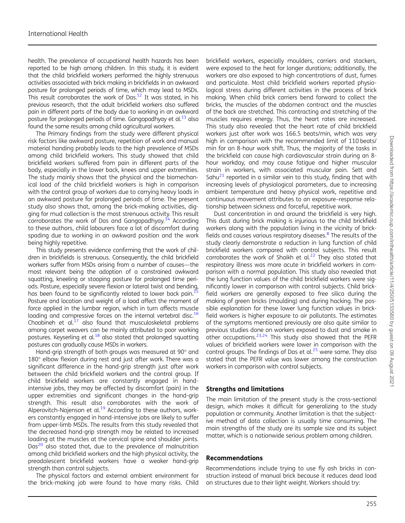health. The prevalence of occupational health hazards has been reported to be high among children. In this study, it is evident that the child brickfield workers performed the highly strenuous activities associated with brick making in brickfields in an awkward posture for prolonged periods of time, which may lead to MSDs. This result corroborates the work of Das.<sup>12</sup> It was stated, in his previous research, that the adult brickfield workers also suffered pain in different parts of the body due to working in an awkward posture for prolonged periods of time. Gangopadhyay et al.<sup>13</sup> also found the same results among child agricultural workers.

The Primary findings from the study were different physical risk factors like awkward posture, repetition of work and manual material handing probably leads to the high prevalence of MSDs among child brickfield workers. This study showed that child brickfield workers suffered from pain in different parts of the body, especially in the lower back, knees and upper extremities. The study mainly shows that the physical and the biomechanical load of the child brickfield workers is high in comparison with the control group of workers due to carrying heavy loads in an awkward posture for prolonged periods of time. The present study also shows that, among the brick-making activities, digging for mud collection is the most strenuous activity. This result corroborates the work of Das and Gangopadhyay.<sup> $14$ </sup> According to these authors, child labourers face a lot of discomfort during spading due to working in an awkward position and the work being highly repetitive.

This study presents evidence confirming that the work of children in brickfields is strenuous. Consequently, the child brickfield workers suffer from MSDs arising from a number of causes—the most relevant being the adoption of a constrained awkward squatting, kneeling or stooping posture for prolonged time periods. Posture, especially severe flexion or lateral twist and bending, has been found to be significantly related to lower back pain.<sup>1</sup> Posture and location and weight of a load affect the moment of force applied in the lumbar region, which in turn affects muscle loading and compressive forces on the internal vertebral disc.<sup>16</sup> Choobineh et  $al^{17}$  also found that musculoskeletal problems among carpet weavers can be mainly attributed to poor working postures. Keyserling et al.<sup>18</sup> also stated that prolonged squatting postures can gradually cause MSDs in workers.

Hand-grip strength of both groups was measured at 90° and 180° elbow flexion during rest and just after work. There was a significant difference in the hand-grip strength just after work between the child brickfield workers and the control group. If child brickfield workers are constantly engaged in handintensive jobs, they may be affected by discomfort (pain) in the upper extremities and significant changes in the hand-grip strength. This result also corroborates with the work of Alperovitch-Najenson et al.<sup>19</sup> According to these authors, workers constantly engaged in hand-intensive jobs are likely to suffer from upper-limb MSDs. The results from this study revealed that the decreased hand-grip strength may be related to increased loading at the muscles at the cervical spine and shoulder joints. Das<sup>20</sup> also stated that, due to the prevalence of malnutrition among child brickfield workers and the high physical activity, the preadolescent brickfield workers have a weaker hand-grip strength than control subjects.

The physical factors and external ambient environment for the brick-making job were found to have many risks. Child

brickfield workers, especially moulders, carriers and stackers, were exposed to the heat for longer durations; additionally, the workers are also exposed to high concentrations of dust, fumes and particulate. Most child brickfield workers reported physiological stress during different activities in the process of brick making. When child brick carriers bend forward to collect the bricks, the muscles of the abdomen contract and the muscles of the back are stretched. This contracting and stretching of the muscles requires energy. Thus, the heart rates are increased. This study also revealed that the heart rate of child brickfield workers just after work was 166.5 beats/min, which was very high in comparison with the recommended limit of 110 beats/ min for an 8-hour work shift. Thus, the majority of the tasks in the brickfield can cause high cardiovascular strain during an 8 hour workday, and may cause fatigue and higher muscular strain in workers, with associated muscular pain. Sett and Sahu $^{21}$  reported in a similar vein to this study, finding that with increasing levels of physiological parameters, due to increasing ambient temperature and heavy physical work, repetitive and continuous movement attributes to an exposure–response relationship between sickness and forceful, repetitive work.

Dust concentration in and around the brickfield is very high. This dust during brick making is injurious to the child brickfield workers along with the population living in the vicinity of brickfields and causes various respiratory diseases.<sup>8</sup> The results of the study clearly demonstrate a reduction in lung function of child brickfield workers compared with control subjects. This result corroborates the work of Shaikh et al. $^{22}$  They also stated that respiratory illness was more acute in brickfield workers in comparison with a normal population. This study also revealed that the lung function values of the child brickfield workers were significantly lower in comparison with control subjects. Child brickfield workers are generally exposed to free silica during the making of green bricks (moulding) and during hacking. The possible explanation for these lower lung function values in brickfield workers is higher exposure to air pollutants. The estimates of the symptoms mentioned previously are also quite similar to previous studies done on workers exposed to dust and smoke in other occupations. $23,24$  This study also showed that the PEFR values of brickfield workers were lower in comparison with the control groups. The findings of Das et al.<sup>25</sup> were same. They also stated that the PEFR value was lower among the construction workers in comparison with control subjects.

#### Strengths and limitations

The main limitation of the present study is the cross-sectional design, which makes it difficult for generalizing to the study population or community. Another limitation is that the subjective method of data collection is usually time consuming. The main strengths of the study are its sample size and its subject matter, which is a nationwide serious problem among children.

#### Recommendations

Recommendations include trying to use fly ash bricks in construction instead of manual brick because it reduces dead load on structures due to their light weight. Workers should try: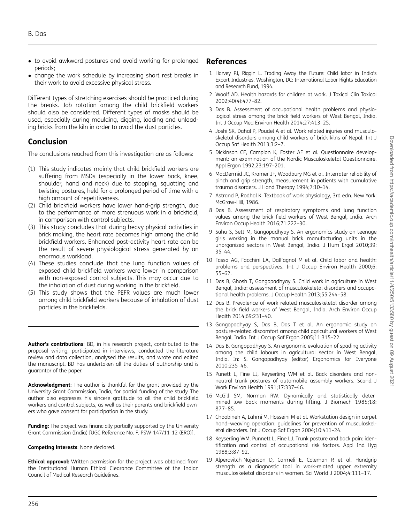- to avoid awkward postures and avoid working for prolonged periods;
- change the work schedule by increasing short rest breaks in their work to avoid excessive physical stress.

Different types of stretching exercises should be practiced during the breaks. Job rotation among the child brickfield workers should also be considered. Different types of masks should be used, especially during moulding, digging, loading and unloading bricks from the kiln in order to avoid the dust particles.

## Conclusion

The conclusions reached from this investigation are as follows:

- (1) This study indicates mainly that child brickfield workers are suffering from MSDs (especially in the lower back, knee, shoulder, hand and neck) due to stooping, squatting and twisting postures, held for a prolonged period of time with a high amount of repetitiveness.
- (2) Child brickfield workers have lower hand-grip strength, due to the performance of more strenuous work in a brickfield, in comparison with control subjects.
- (3) This study concludes that during heavy physical activities in brick making, the heart rate becomes high among the child brickfield workers. Enhanced post-activity heart rate can be the result of severe physiological stress generated by an enormous workload.
- (4) These studies conclude that the lung function values of exposed child brickfield workers were lower in comparison with non-exposed control subjects. This may occur due to the inhalation of dust during working in the brickfield.
- (5) This study shows that the PEFR values are much lower among child brickfield workers because of inhalation of dust particles in the brickfields.

Author's contributions: BD, in his research project, contributed to the proposal writing, participated in interviews, conducted the literature review and data collection, analysed the results, and wrote and edited the manuscript. BD has undertaken all the duties of authorship and is guarantor of the paper.

Acknowledgment: The author is thankful for the grant provided by the University Grant Commission, India, for partial funding of the study. The author also expresses his sincere gratitude to all the child brickfield workers and control subjects, as well as their parents and brickfield owners who gave consent for participation in the study.

Funding: The project was financially partially supported by the University Grant Commission (India) [UGC Reference No. F. PSW-147/11-12 (ERO)].

#### Competing interests: None declared.

**Ethical approval:** Written permission for the project was obtained from the Institutional Human Ethical Clearance Committee of the Indian Council of Medical Research Guidelines.

## References

- 1 Harvey PJ, Riggin L. Trading Away the Future: Child labor in India's Export Industries. Washington, DC: International Labor Rights Education and Research Fund, 1994.
- 2 Woolf AD. Health hazards for children at work. J Toxicol Clin Toxicol 2002;40(4):477–82.
- 3 Das B. Assessment of occupational health problems and physiological stress among the brick field workers of West Bengal, India. Int J Occup Med Environ Health 2014;27:413–25.
- 4 Joshi SK, Dahal P, Poudel A et al. Work related injuries and musculoskeletal disorders among child workers of brick kilns of Nepal. Int J Occup Saf Health 2013;3:2–7.
- 5 Dickinson CE, Campion K, Foster AF et al. Questionnaire development: an examination of the Nordic Musculoskeletal Questionnaire. Appl Ergon 1992;23:197–201.
- 6 MacDermid JC, Kramer JF, Woodbury MG et al. Interrater reliability of pinch and grip strength, measurement in patients with cumulative trauma disorders. J Hand Therapy 1994;7:10–14.
- 7 Astrand P, Rodhal K. Textbook of work physiology, 3rd edn. New York: McGraw-Hill, 1986.
- 8 Das B. Assessment of respiratory symptoms and lung function values among the brick field workers of West Bengal, India. Arch Environ Occup Health 2016;71:222–30.
- 9 Sahu S, Sett M, Gangopadhyay S. An ergonomics study on teenage girls working in the manual brick manufacturing units in the unorganized sectors in West Bengal, India. J Hum Ergol 2010;39: 35–44.
- 10 Fassa AG, Facchini LA, Dall'agnol M et al. Child labor and health: problems and perspectives. Int J Occup Environ Health 2000;6: 55–62.
- 11 Das B, Ghosh T, Gangopadhyay S. Child work in agriculture in West Bengal, India: assessment of musculoskeletal disorders and occupational health problems. J Occup Health 2013;55:244–58.
- 12 Das B. Prevalence of work related musculoskeletal disorder among the brick field workers of West Bengal, India. Arch Environ Occup Health 2014;69:231–40.
- 13 Gangopadhyay S, Das B, Das T et al. An ergonomic study on posture-related discomfort among child agricultural workers of West Bengal, India. Int J Occup Saf Ergon 2005;11:315–22.
- 14 Das B, Gangopadhyay S. An ergonomic evaluation of spading activity among the child labours in agricultural sector in West Bengal, India. In: S. Gangopadhyay (editor) Ergonomics for Everyone 2010:235–46.
- 15 Punett L, Fine LJ, Keyserling WM et al. Back disorders and nonneutral trunk postures of automobile assembly workers. Scand J Work Environ Health 1991;17:337–46.
- 16 McGill SM, Norman RW. Dynamically and statistically determined low back moments during lifting. J Biomech 1985;18: 877–85.
- 17 Choobineh A, Lahmi M, Hosseini M et al. Workstation design in carpet hand–weaving operation: guidelines for prevention of musculoskeletal disorders. Int J Occup Saf Ergon 2004;10:411–24.
- 18 Keyserling WM, Punnett L, Fine LJ. Trunk posture and back pain: identification and control of occupational risk factors. Appl Ind Hyg 1988;3:87–92.
- 19 Alperovitch-Najenson D, Carmeli E, Coleman R et al. Handgrip strength as a diagnostic tool in work-related upper extremity musculoskeletal disorders in women. Sci World J 2004;4:111–17.